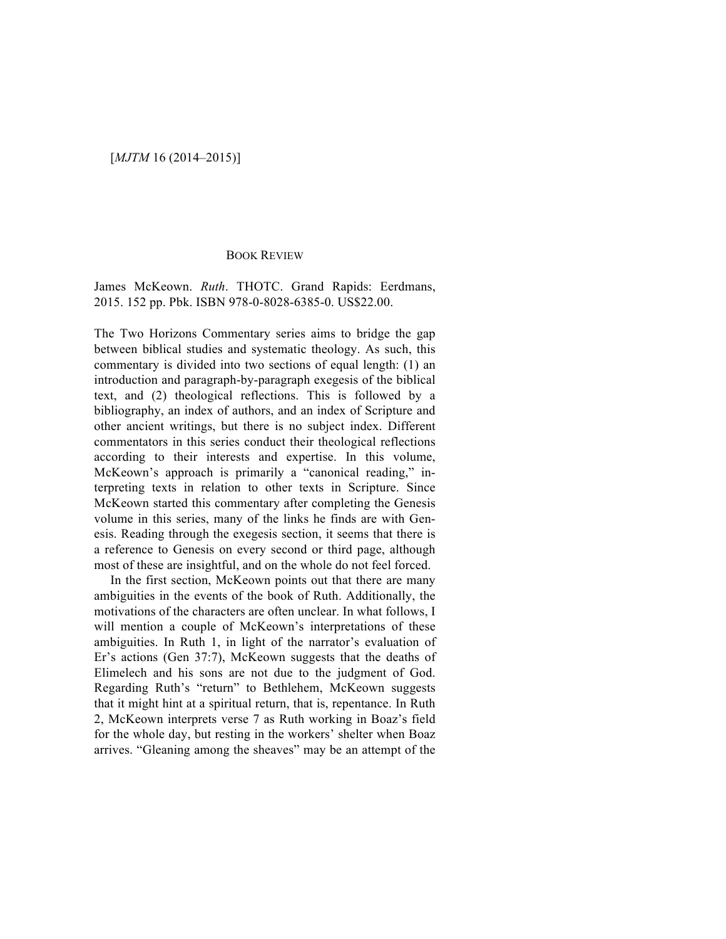## BOOK REVIEW

James McKeown. *Ruth*. THOTC. Grand Rapids: Eerdmans, 2015. 152 pp. Pbk. ISBN 978-0-8028-6385-0. US\$22.00.

The Two Horizons Commentary series aims to bridge the gap between biblical studies and systematic theology. As such, this commentary is divided into two sections of equal length: (1) an introduction and paragraph-by-paragraph exegesis of the biblical text, and (2) theological reflections. This is followed by a bibliography, an index of authors, and an index of Scripture and other ancient writings, but there is no subject index. Different commentators in this series conduct their theological reflections according to their interests and expertise. In this volume, McKeown's approach is primarily a "canonical reading," interpreting texts in relation to other texts in Scripture. Since McKeown started this commentary after completing the Genesis volume in this series, many of the links he finds are with Genesis. Reading through the exegesis section, it seems that there is a reference to Genesis on every second or third page, although most of these are insightful, and on the whole do not feel forced.

In the first section, McKeown points out that there are many ambiguities in the events of the book of Ruth. Additionally, the motivations of the characters are often unclear. In what follows, I will mention a couple of McKeown's interpretations of these ambiguities. In Ruth 1, in light of the narrator's evaluation of Er's actions (Gen 37:7), McKeown suggests that the deaths of Elimelech and his sons are not due to the judgment of God. Regarding Ruth's "return" to Bethlehem, McKeown suggests that it might hint at a spiritual return, that is, repentance. In Ruth 2, McKeown interprets verse 7 as Ruth working in Boaz's field for the whole day, but resting in the workers' shelter when Boaz arrives. "Gleaning among the sheaves" may be an attempt of the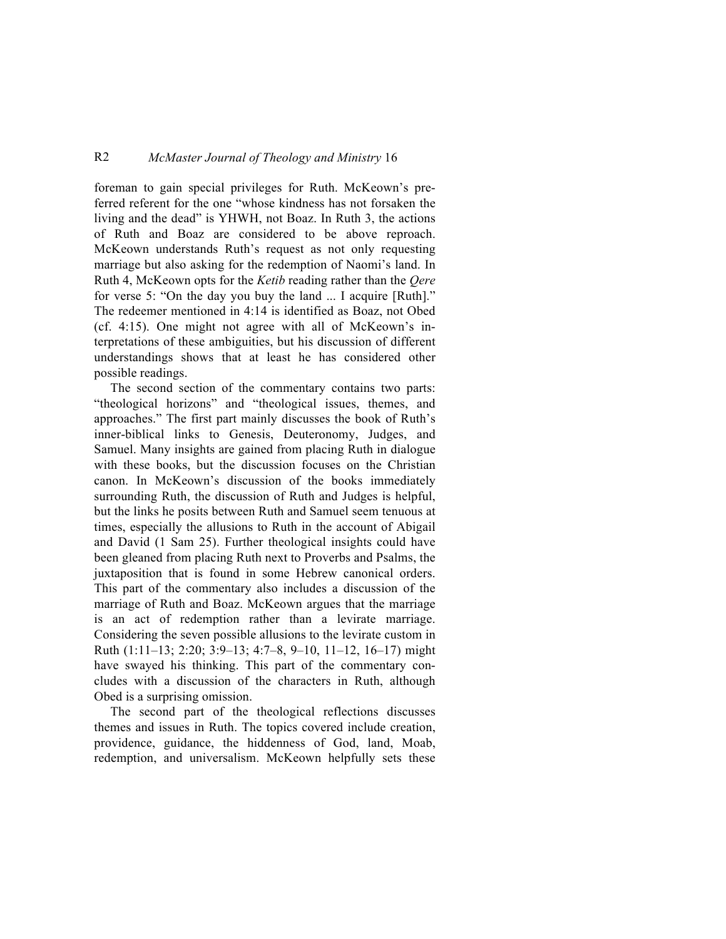## R2 *McMaster Journal of Theology and Ministry* 16

foreman to gain special privileges for Ruth. McKeown's preferred referent for the one "whose kindness has not forsaken the living and the dead" is YHWH, not Boaz. In Ruth 3, the actions of Ruth and Boaz are considered to be above reproach. McKeown understands Ruth's request as not only requesting marriage but also asking for the redemption of Naomi's land. In Ruth 4, McKeown opts for the *Ketib* reading rather than the *Qere* for verse 5: "On the day you buy the land ... I acquire [Ruth]." The redeemer mentioned in 4:14 is identified as Boaz, not Obed (cf. 4:15). One might not agree with all of McKeown's interpretations of these ambiguities, but his discussion of different understandings shows that at least he has considered other possible readings.

The second section of the commentary contains two parts: "theological horizons" and "theological issues, themes, and approaches." The first part mainly discusses the book of Ruth's inner-biblical links to Genesis, Deuteronomy, Judges, and Samuel. Many insights are gained from placing Ruth in dialogue with these books, but the discussion focuses on the Christian canon. In McKeown's discussion of the books immediately surrounding Ruth, the discussion of Ruth and Judges is helpful, but the links he posits between Ruth and Samuel seem tenuous at times, especially the allusions to Ruth in the account of Abigail and David (1 Sam 25). Further theological insights could have been gleaned from placing Ruth next to Proverbs and Psalms, the juxtaposition that is found in some Hebrew canonical orders. This part of the commentary also includes a discussion of the marriage of Ruth and Boaz. McKeown argues that the marriage is an act of redemption rather than a levirate marriage. Considering the seven possible allusions to the levirate custom in Ruth (1:11–13; 2:20; 3:9–13; 4:7–8, 9–10, 11–12, 16–17) might have swayed his thinking. This part of the commentary concludes with a discussion of the characters in Ruth, although Obed is a surprising omission.

The second part of the theological reflections discusses themes and issues in Ruth. The topics covered include creation, providence, guidance, the hiddenness of God, land, Moab, redemption, and universalism. McKeown helpfully sets these